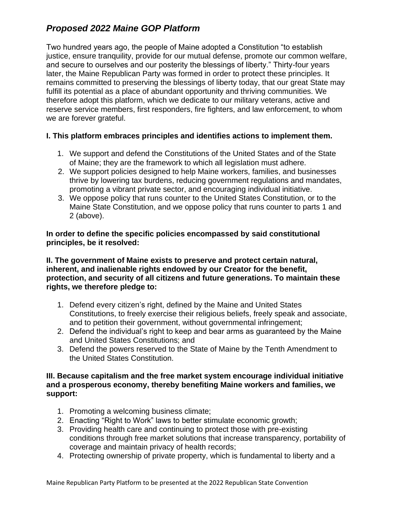# *Proposed 2022 Maine GOP Platform*

Two hundred years ago, the people of Maine adopted a Constitution "to establish justice, ensure tranquility, provide for our mutual defense, promote our common welfare, and secure to ourselves and our posterity the blessings of liberty." Thirty-four years later, the Maine Republican Party was formed in order to protect these principles. It remains committed to preserving the blessings of liberty today, that our great State may fulfill its potential as a place of abundant opportunity and thriving communities. We therefore adopt this platform, which we dedicate to our military veterans, active and reserve service members, first responders, fire fighters, and law enforcement, to whom we are forever grateful.

### **I. This platform embraces principles and identifies actions to implement them.**

- 1. We support and defend the Constitutions of the United States and of the State of Maine; they are the framework to which all legislation must adhere.
- 2. We support policies designed to help Maine workers, families, and businesses thrive by lowering tax burdens, reducing government regulations and mandates, promoting a vibrant private sector, and encouraging individual initiative.
- 3. We oppose policy that runs counter to the United States Constitution, or to the Maine State Constitution, and we oppose policy that runs counter to parts 1 and 2 (above).

**In order to define the specific policies encompassed by said constitutional principles, be it resolved:** 

**II. The government of Maine exists to preserve and protect certain natural, inherent, and inalienable rights endowed by our Creator for the benefit, protection, and security of all citizens and future generations. To maintain these rights, we therefore pledge to:** 

- 1. Defend every citizen's right, defined by the Maine and United States Constitutions, to freely exercise their religious beliefs, freely speak and associate, and to petition their government, without governmental infringement;
- 2. Defend the individual's right to keep and bear arms as guaranteed by the Maine and United States Constitutions; and
- 3. Defend the powers reserved to the State of Maine by the Tenth Amendment to the United States Constitution.

### **III. Because capitalism and the free market system encourage individual initiative and a prosperous economy, thereby benefiting Maine workers and families, we support:**

- 1. Promoting a welcoming business climate;
- 2. Enacting "Right to Work" laws to better stimulate economic growth;
- 3. Providing health care and continuing to protect those with pre-existing conditions through free market solutions that increase transparency, portability of coverage and maintain privacy of health records;
- 4. Protecting ownership of private property, which is fundamental to liberty and a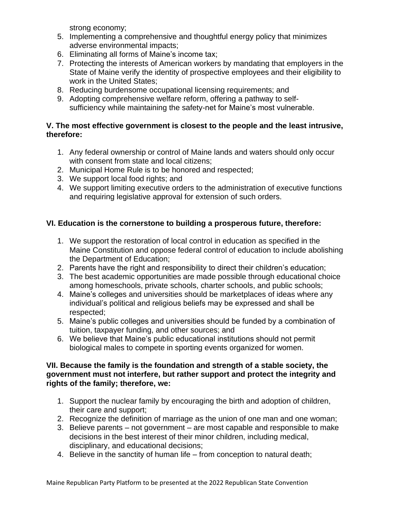strong economy;

- 5. Implementing a comprehensive and thoughtful energy policy that minimizes adverse environmental impacts;
- 6. Eliminating all forms of Maine's income tax;
- 7. Protecting the interests of American workers by mandating that employers in the State of Maine verify the identity of prospective employees and their eligibility to work in the United States;
- 8. Reducing burdensome occupational licensing requirements; and
- 9. Adopting comprehensive welfare reform, offering a pathway to selfsufficiency while maintaining the safety-net for Maine's most vulnerable.

## **V. The most effective government is closest to the people and the least intrusive, therefore:**

- 1. Any federal ownership or control of Maine lands and waters should only occur with consent from state and local citizens:
- 2. Municipal Home Rule is to be honored and respected;
- 3. We support local food rights; and
- 4. We support limiting executive orders to the administration of executive functions and requiring legislative approval for extension of such orders.

# **VI. Education is the cornerstone to building a prosperous future, therefore:**

- 1. We support the restoration of local control in education as specified in the Maine Constitution and oppose federal control of education to include abolishing the Department of Education;
- 2. Parents have the right and responsibility to direct their children's education;
- 3. The best academic opportunities are made possible through educational choice among homeschools, private schools, charter schools, and public schools;
- 4. Maine's colleges and universities should be marketplaces of ideas where any individual's political and religious beliefs may be expressed and shall be respected;
- 5. Maine's public colleges and universities should be funded by a combination of tuition, taxpayer funding, and other sources; and
- 6. We believe that Maine's public educational institutions should not permit biological males to compete in sporting events organized for women.

### **VII. Because the family is the foundation and strength of a stable society, the government must not interfere, but rather support and protect the integrity and rights of the family; therefore, we:**

- 1. Support the nuclear family by encouraging the birth and adoption of children, their care and support;
- 2. Recognize the definition of marriage as the union of one man and one woman;
- 3. Believe parents not government are most capable and responsible to make decisions in the best interest of their minor children, including medical, disciplinary, and educational decisions;
- 4. Believe in the sanctity of human life from conception to natural death;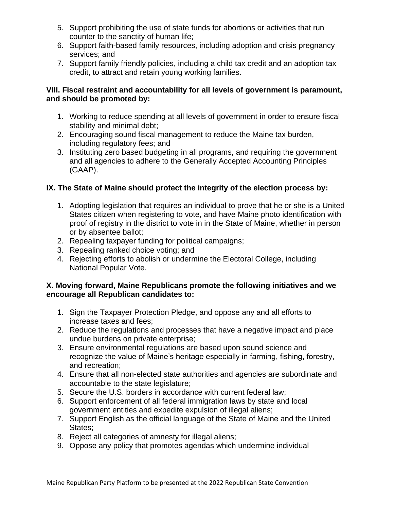- 5. Support prohibiting the use of state funds for abortions or activities that run counter to the sanctity of human life;
- 6. Support faith-based family resources, including adoption and crisis pregnancy services; and
- 7. Support family friendly policies, including a child tax credit and an adoption tax credit, to attract and retain young working families.

### **VIII. Fiscal restraint and accountability for all levels of government is paramount, and should be promoted by:**

- 1. Working to reduce spending at all levels of government in order to ensure fiscal stability and minimal debt;
- 2. Encouraging sound fiscal management to reduce the Maine tax burden, including regulatory fees; and
- 3. Instituting zero based budgeting in all programs, and requiring the government and all agencies to adhere to the Generally Accepted Accounting Principles (GAAP).

# **IX. The State of Maine should protect the integrity of the election process by:**

- 1. Adopting legislation that requires an individual to prove that he or she is a United States citizen when registering to vote, and have Maine photo identification with proof of registry in the district to vote in in the State of Maine, whether in person or by absentee ballot;
- 2. Repealing taxpayer funding for political campaigns;
- 3. Repealing ranked choice voting; and
- 4. Rejecting efforts to abolish or undermine the Electoral College, including National Popular Vote.

### **X. Moving forward, Maine Republicans promote the following initiatives and we encourage all Republican candidates to:**

- 1. Sign the Taxpayer Protection Pledge, and oppose any and all efforts to increase taxes and fees;
- 2. Reduce the regulations and processes that have a negative impact and place undue burdens on private enterprise;
- 3. Ensure environmental regulations are based upon sound science and recognize the value of Maine's heritage especially in farming, fishing, forestry, and recreation;
- 4. Ensure that all non-elected state authorities and agencies are subordinate and accountable to the state legislature;
- 5. Secure the U.S. borders in accordance with current federal law;
- 6. Support enforcement of all federal immigration laws by state and local government entities and expedite expulsion of illegal aliens;
- 7. Support English as the official language of the State of Maine and the United States;
- 8. Reject all categories of amnesty for illegal aliens;
- 9. Oppose any policy that promotes agendas which undermine individual